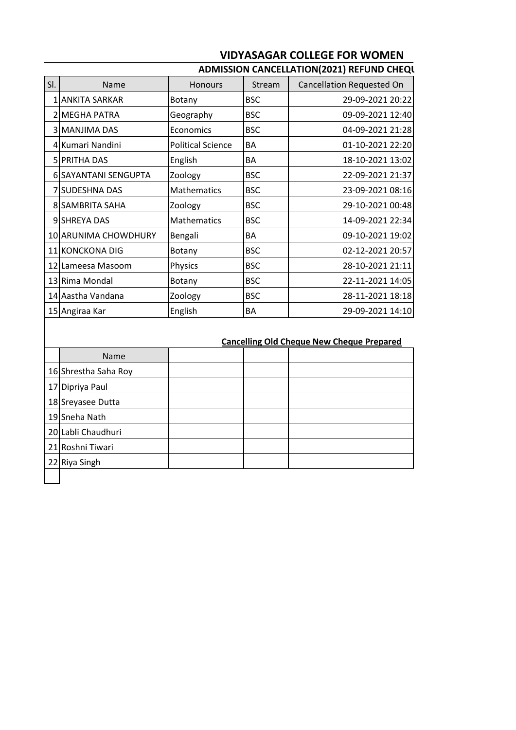## **VIDYASAGAR COLLEGE FOR WOMEN**

| SI.                                              | Name                 | <b>Honours</b>           | Stream     | Cancellation Requested On |  |  |  |
|--------------------------------------------------|----------------------|--------------------------|------------|---------------------------|--|--|--|
|                                                  | 1 ANKITA SARKAR      | Botany                   | <b>BSC</b> | 29-09-2021 20:22          |  |  |  |
|                                                  | 2 MEGHA PATRA        | Geography                | <b>BSC</b> | 09-09-2021 12:40          |  |  |  |
|                                                  | 3 MANJIMA DAS        | Economics                | <b>BSC</b> | 04-09-2021 21:28          |  |  |  |
|                                                  | 4 Kumari Nandini     | <b>Political Science</b> | BA         | 01-10-2021 22:20          |  |  |  |
|                                                  | 5 PRITHA DAS         | English                  | BA         | 18-10-2021 13:02          |  |  |  |
|                                                  | 6 SAYANTANI SENGUPTA | Zoology                  | <b>BSC</b> | 22-09-2021 21:37          |  |  |  |
|                                                  | 7 SUDESHNA DAS       | Mathematics              | <b>BSC</b> | 23-09-2021 08:16          |  |  |  |
|                                                  | 8 SAMBRITA SAHA      | Zoology                  | <b>BSC</b> | 29-10-2021 00:48          |  |  |  |
|                                                  | 9 SHREYA DAS         | Mathematics              | <b>BSC</b> | 14-09-2021 22:34          |  |  |  |
|                                                  | 10 ARUNIMA CHOWDHURY | Bengali                  | BA         | 09-10-2021 19:02          |  |  |  |
|                                                  | 11 KONCKONA DIG      | Botany                   | <b>BSC</b> | 02-12-2021 20:57          |  |  |  |
|                                                  | 12 Lameesa Masoom    | Physics                  | <b>BSC</b> | 28-10-2021 21:11          |  |  |  |
|                                                  | 13 Rima Mondal       | Botany                   | <b>BSC</b> | 22-11-2021 14:05          |  |  |  |
|                                                  | 14 Aastha Vandana    | Zoology                  | <b>BSC</b> | 28-11-2021 18:18          |  |  |  |
|                                                  | 15 Angiraa Kar       | English                  | BA         | 29-09-2021 14:10          |  |  |  |
|                                                  |                      |                          |            |                           |  |  |  |
| <b>Cancelling Old Cheque New Cheque Prepared</b> |                      |                          |            |                           |  |  |  |
|                                                  | Name                 |                          |            |                           |  |  |  |

16 Shrestha Saha Roy

17 Dipriya Paul 18 Sreyasee Dutta 19 Sneha Nath 20 Labli Chaudhuri 21 Roshni Tiwari 22 Riya Singh

## **ADMISSION CANCELLATION(2021) REFUND CHEQUE**